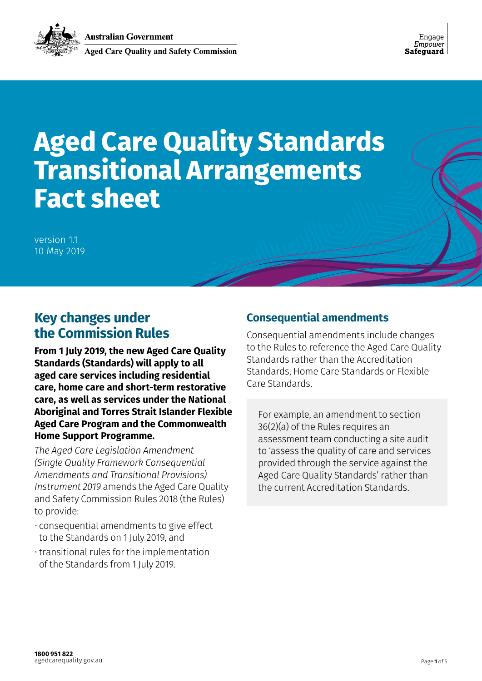

# **Aged Care Quality Standards Transitional Arrangements Fact sheet**

version 1.1 10 May 2019

# **Key changes under the Commission Rules**

**From 1 July 2019, the new Aged Care Quality Standards (Standards) will apply to all aged care services including residential care, home care and short-term restorative care, as well as services under the National Aboriginal and Torres Strait Islander Flexible Aged Care Program and the Commonwealth Home Support Programme.**

*The Aged Care Legislation Amendment (Single Quality Framework Consequential Amendments and Transitional Provisions) Instrument 2019* amends the Aged Care Quality and Safety Commission Rules 2018 (the Rules) to provide:

- consequential amendments to give effect to the Standards on 1 July 2019, and
- transitional rules for the implementation of the Standards from 1 July 2019.

## **Consequential amendments**

Consequential amendments include changes to the Rules to reference the Aged Care Quality Standards rather than the Accreditation Standards, Home Care Standards or Flexible Care Standards.

For example, an amendment to section 36(2)(a) of the Rules requires an assessment team conducting a site audit to 'assess the quality of care and services provided through the service against the Aged Care Quality Standards' rather than the current Accreditation Standards.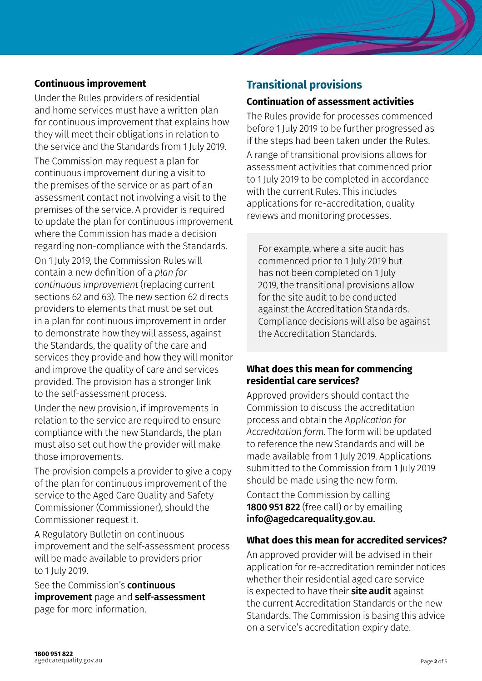## **Continuous improvement**

Under the Rules providers of residential and home services must have a written plan for continuous improvement that explains how they will meet their obligations in relation to the service and the Standards from 1 July 2019.

The Commission may request a plan for continuous improvement during a visit to the premises of the service or as part of an assessment contact not involving a visit to the premises of the service. A provider is required to update the plan for continuous improvement where the Commission has made a decision regarding non-compliance with the Standards.

On 1 July 2019, the Commission Rules will contain a new definition of a *plan for continuous improvement* (replacing current sections 62 and 63). The new section 62 directs providers to elements that must be set out in a plan for continuous improvement in order to demonstrate how they will assess, against the Standards, the quality of the care and services they provide and how they will monitor and improve the quality of care and services provided. The provision has a stronger link to the self-assessment process.

Under the new provision, if improvements in relation to the service are required to ensure compliance with the new Standards, the plan must also set out how the provider will make those improvements.

The provision compels a provider to give a copy of the plan for continuous improvement of the service to the Aged Care Quality and Safety Commissioner (Commissioner), should the Commissioner request it.

A Regulatory Bulletin on continuous improvement and the self-assessment process will be made available to providers prior to 1 July 2019.

See the Commission's **continuous** [improvement](https://www.agedcarequality.gov.au/providers/assessment-processes/continuous-improvement) page and [self-assessment](https://www.agedcarequality.gov.au/providers/assessment-processes/self-assessment) page for more information.

## **Transitional provisions**

#### **Continuation of assessment activities**

The Rules provide for processes commenced before 1 July 2019 to be further progressed as if the steps had been taken under the Rules. A range of transitional provisions allows for assessment activities that commenced prior to 1 July 2019 to be completed in accordance with the current Rules. This includes applications for re-accreditation, quality reviews and monitoring processes.

For example, where a site audit has commenced prior to 1 July 2019 but has not been completed on 1 July 2019, the transitional provisions allow for the site audit to be conducted against the Accreditation Standards. Compliance decisions will also be against the Accreditation Standards.

## **What does this mean for commencing residential care services?**

Approved providers should contact the Commission to discuss the accreditation process and obtain the *Application for Accreditation form*. The form will be updated to reference the new Standards and will be made available from 1 July 2019. Applications submitted to the Commission from 1 July 2019 should be made using the new form.

Contact the Commission by calling 1800 951 822 (free call) or by emailing info@agedcarequality.gov.au.

## **What does this mean for accredited services?**

An approved provider will be advised in their application for re-accreditation reminder notices whether their residential aged care service is expected to have their **site audit** against the current Accreditation Standards or the new Standards. The Commission is basing this advice on a service's accreditation expiry date.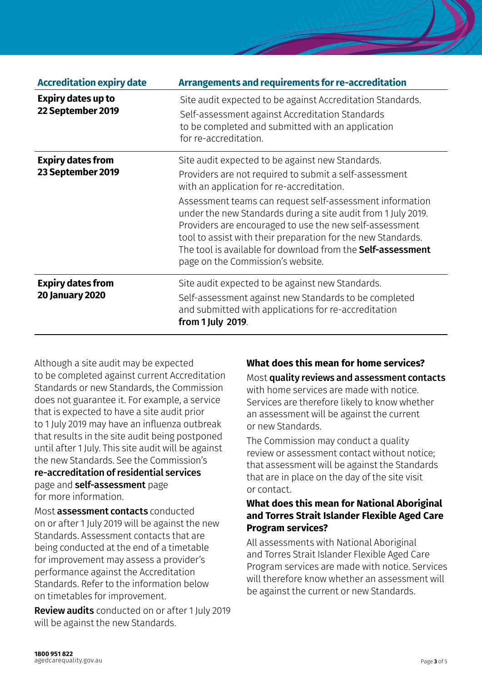| <b>Accreditation expiry date</b>                   | Arrangements and requirements for re-accreditation                                                                                                                                                                                                                                                                                                              |
|----------------------------------------------------|-----------------------------------------------------------------------------------------------------------------------------------------------------------------------------------------------------------------------------------------------------------------------------------------------------------------------------------------------------------------|
| <b>Expiry dates up to</b><br>22 September 2019     | Site audit expected to be against Accreditation Standards.<br>Self-assessment against Accreditation Standards<br>to be completed and submitted with an application<br>for re-accreditation.                                                                                                                                                                     |
| <b>Expiry dates from</b>                           | Site audit expected to be against new Standards.                                                                                                                                                                                                                                                                                                                |
| 23 September 2019                                  | Providers are not required to submit a self-assessment<br>with an application for re-accreditation.                                                                                                                                                                                                                                                             |
|                                                    | Assessment teams can request self-assessment information<br>under the new Standards during a site audit from 1 July 2019.<br>Providers are encouraged to use the new self-assessment<br>tool to assist with their preparation for the new Standards.<br>The tool is available for download from the <b>Self-assessment</b><br>page on the Commission's website. |
| <b>Expiry dates from</b><br><b>20 January 2020</b> | Site audit expected to be against new Standards.                                                                                                                                                                                                                                                                                                                |
|                                                    | Self-assessment against new Standards to be completed<br>and submitted with applications for re-accreditation<br>from 1 July 2019.                                                                                                                                                                                                                              |

Although a site audit may be expected to be completed against current Accreditation Standards or new Standards, the Commission does not guarantee it. For example, a service that is expected to have a site audit prior to 1 July 2019 may have an influenza outbreak that results in the site audit being postponed until after 1 July. This site audit will be against the new Standards. See the Commission's [re-accreditation of residential services](https://www.agedcarequality.gov.au/providers/assessment-processes/accreditation-and-re-accreditation/re-accreditation-of-residential-services) page and [self-assessment](https://www.agedcarequality.gov.au/providers/assessment-processes/self-assessment) page for more information.

Most assessment contacts conducted on or after 1 July 2019 will be against the new Standards. Assessment contacts that are being conducted at the end of a timetable for improvement may assess a provider's performance against the Accreditation Standards. Refer to the information below on timetables for improvement.

Review audits conducted on or after 1 July 2019 will be against the new Standards.

# **What does this mean for home services?**

Most quality reviews and assessment contacts

with home services are made with notice. Services are therefore likely to know whether an assessment will be against the current or new Standards.

The Commission may conduct a quality review or assessment contact without notice; that assessment will be against the Standards that are in place on the day of the site visit or contact.

#### **What does this mean for National Aboriginal and Torres Strait Islander Flexible Aged Care Program services?**

All assessments with National Aboriginal and Torres Strait Islander Flexible Aged Care Program services are made with notice. Services will therefore know whether an assessment will be against the current or new Standards.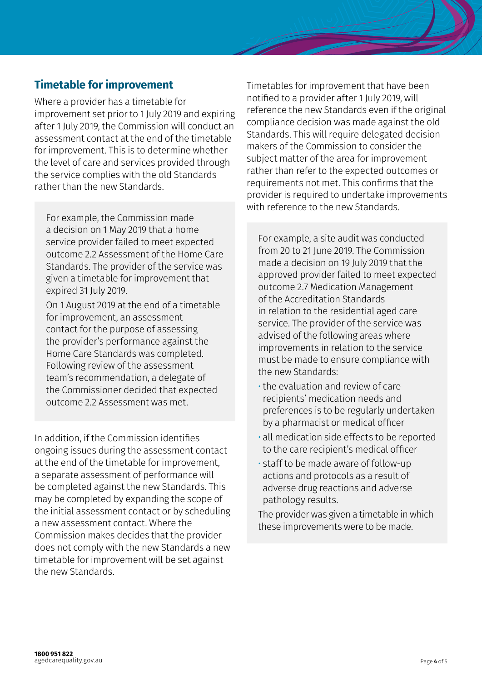## **Timetable for improvement**

Where a provider has a timetable for improvement set prior to 1 July 2019 and expiring after 1 July 2019, the Commission will conduct an assessment contact at the end of the timetable for improvement. This is to determine whether the level of care and services provided through the service complies with the old Standards rather than the new Standards.

For example, the Commission made a decision on 1 May 2019 that a home service provider failed to meet expected outcome 2.2 Assessment of the Home Care Standards. The provider of the service was given a timetable for improvement that expired 31 July 2019.

On 1 August 2019 at the end of a timetable for improvement, an assessment contact for the purpose of assessing the provider's performance against the Home Care Standards was completed. Following review of the assessment team's recommendation, a delegate of the Commissioner decided that expected outcome 2.2 Assessment was met.

In addition, if the Commission identifies ongoing issues during the assessment contact at the end of the timetable for improvement, a separate assessment of performance will be completed against the new Standards. This may be completed by expanding the scope of the initial assessment contact or by scheduling a new assessment contact. Where the Commission makes decides that the provider does not comply with the new Standards a new timetable for improvement will be set against the new Standards.

Timetables for improvement that have been notified to a provider after 1 July 2019, will reference the new Standards even if the original compliance decision was made against the old Standards. This will require delegated decision makers of the Commission to consider the subject matter of the area for improvement rather than refer to the expected outcomes or requirements not met. This confirms that the provider is required to undertake improvements with reference to the new Standards.

For example, a site audit was conducted from 20 to 21 June 2019. The Commission made a decision on 19 July 2019 that the approved provider failed to meet expected outcome 2.7 Medication Management of the Accreditation Standards in relation to the residential aged care service. The provider of the service was advised of the following areas where improvements in relation to the service must be made to ensure compliance with the new Standards:

- the evaluation and review of care recipients' medication needs and preferences is to be regularly undertaken by a pharmacist or medical officer
- all medication side effects to be reported to the care recipient's medical officer
- staff to be made aware of follow-up actions and protocols as a result of adverse drug reactions and adverse pathology results.

The provider was given a timetable in which these improvements were to be made.